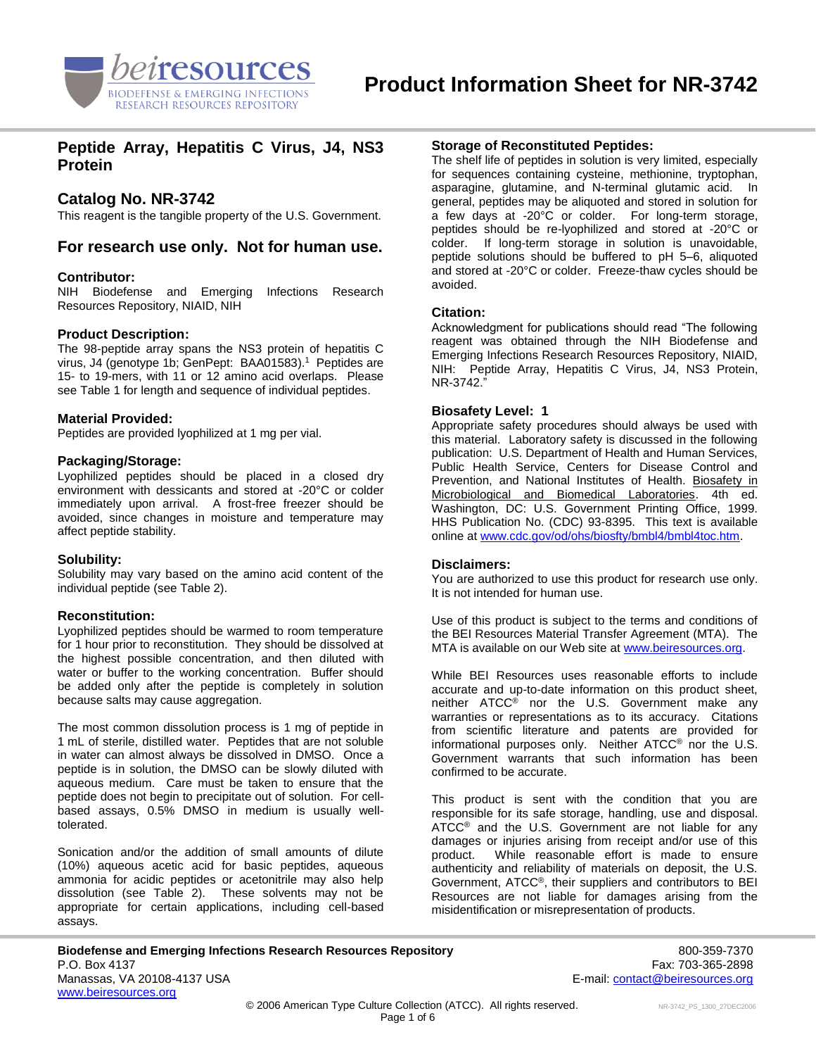

# **Peptide Array, Hepatitis C Virus, J4, NS3 Protein**

# **Catalog No. NR-3742**

This reagent is the tangible property of the U.S. Government.

# **For research use only. Not for human use.**

#### **Contributor:**

NIH Biodefense and Emerging Infections Research Resources Repository, NIAID, NIH

## **Product Description:**

The 98-peptide array spans the NS3 protein of hepatitis C virus, J4 (genotype 1b; GenPept: BAA01583).<sup>1</sup> Peptides are 15- to 19-mers, with 11 or 12 amino acid overlaps. Please see Table 1 for length and sequence of individual peptides.

#### **Material Provided:**

Peptides are provided lyophilized at 1 mg per vial.

#### **Packaging/Storage:**

Lyophilized peptides should be placed in a closed dry environment with dessicants and stored at -20°C or colder immediately upon arrival. A frost-free freezer should be avoided, since changes in moisture and temperature may affect peptide stability.

#### **Solubility:**

Solubility may vary based on the amino acid content of the individual peptide (see Table 2).

#### **Reconstitution:**

Lyophilized peptides should be warmed to room temperature for 1 hour prior to reconstitution. They should be dissolved at the highest possible concentration, and then diluted with water or buffer to the working concentration. Buffer should be added only after the peptide is completely in solution because salts may cause aggregation.

The most common dissolution process is 1 mg of peptide in 1 mL of sterile, distilled water. Peptides that are not soluble in water can almost always be dissolved in DMSO. Once a peptide is in solution, the DMSO can be slowly diluted with aqueous medium. Care must be taken to ensure that the peptide does not begin to precipitate out of solution. For cellbased assays, 0.5% DMSO in medium is usually welltolerated.

Sonication and/or the addition of small amounts of dilute (10%) aqueous acetic acid for basic peptides, aqueous ammonia for acidic peptides or acetonitrile may also help dissolution (see Table 2). These solvents may not be appropriate for certain applications, including cell-based assays.

# **Storage of Reconstituted Peptides:**

The shelf life of peptides in solution is very limited, especially for sequences containing cysteine, methionine, tryptophan, asparagine, glutamine, and N-terminal glutamic acid. In general, peptides may be aliquoted and stored in solution for a few days at -20°C or colder. For long-term storage, peptides should be re-lyophilized and stored at -20°C or colder. If long-term storage in solution is unavoidable, peptide solutions should be buffered to pH 5–6, aliquoted and stored at -20°C or colder. Freeze-thaw cycles should be avoided.

#### **Citation:**

Acknowledgment for publications should read "The following reagent was obtained through the NIH Biodefense and Emerging Infections Research Resources Repository, NIAID, NIH: Peptide Array, Hepatitis C Virus, J4, NS3 Protein, NR-3742."

## **Biosafety Level: 1**

Appropriate safety procedures should always be used with this material. Laboratory safety is discussed in the following publication: U.S. Department of Health and Human Services, Public Health Service, Centers for Disease Control and Prevention, and National Institutes of Health. Biosafety in Microbiological and Biomedical Laboratories. 4th ed. Washington, DC: U.S. Government Printing Office, 1999. HHS Publication No. (CDC) 93-8395. This text is available online a[t www.cdc.gov/od/ohs/biosfty/bmbl4/bmbl4toc.htm.](http://www.cdc.gov/od/ohs/biosfty/bmbl4/bmbl4toc.htm)

#### **Disclaimers:**

You are authorized to use this product for research use only. It is not intended for human use.

Use of this product is subject to the terms and conditions of the BEI Resources Material Transfer Agreement (MTA). The MTA is available on our Web site at [www.beiresources.org.](http://www.beiresources.org/)

While BEI Resources uses reasonable efforts to include accurate and up-to-date information on this product sheet, neither ATCC® nor the U.S. Government make any warranties or representations as to its accuracy. Citations from scientific literature and patents are provided for informational purposes only. Neither ATCC® nor the U.S. Government warrants that such information has been confirmed to be accurate.

This product is sent with the condition that you are responsible for its safe storage, handling, use and disposal. ATCC<sup>®</sup> and the U.S. Government are not liable for any damages or injuries arising from receipt and/or use of this product. While reasonable effort is made to ensure authenticity and reliability of materials on deposit, the U.S. Government, ATCC®, their suppliers and contributors to BEI Resources are not liable for damages arising from the misidentification or misrepresentation of products.

**Biodefense and Emerging Infections Research Resources Repository** *Boorner Bell and Emerging Infections* **Research Resources Repository** P.O. Box 4137 Fax: 703-365-2898 Manassas, VA 20108-4137 USA E-mail: [contact@beiresources.org](mailto:contact@beiresources.org) [www.beiresources.org](http://www.beiresources.org/)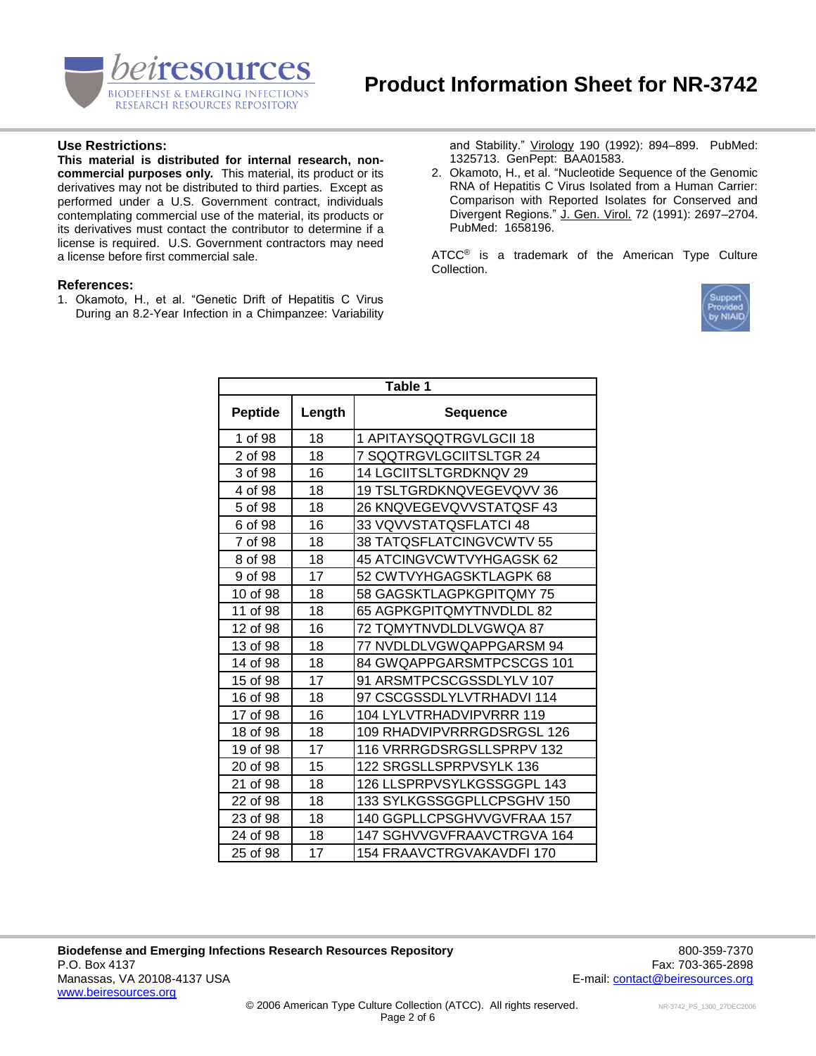

# **Use Restrictions:**

**This material is distributed for internal research, noncommercial purposes only.** This material, its product or its derivatives may not be distributed to third parties. Except as performed under a U.S. Government contract, individuals contemplating commercial use of the material, its products or its derivatives must contact the contributor to determine if a license is required. U.S. Government contractors may need a license before first commercial sale.

## **References:**

1. Okamoto, H., et al. "Genetic Drift of Hepatitis C Virus During an 8.2-Year Infection in a Chimpanzee: Variability and Stability." Virology 190 (1992): 894–899. PubMed: 1325713. GenPept: BAA01583.

2. Okamoto, H., et al. "Nucleotide Sequence of the Genomic RNA of Hepatitis C Virus Isolated from a Human Carrier: Comparison with Reported Isolates for Conserved and Divergent Regions." J. Gen. Virol. 72 (1991): 2697–2704. PubMed: 1658196.

ATCC<sup>®</sup> is a trademark of the American Type Culture Collection.



| Table 1        |        |                               |  |  |
|----------------|--------|-------------------------------|--|--|
| <b>Peptide</b> | Length | <b>Sequence</b>               |  |  |
| 1 of 98        | 18     | 1 APITAYSQQTRGVLGCII 18       |  |  |
| 2 of 98        | 18     | 7 SQQTRGVLGCIITSLTGR 24       |  |  |
| 3 of 98        | 16     | <b>14 LGCIITSLTGRDKNQV 29</b> |  |  |
| 4 of 98        | 18     | 19 TSLTGRDKNQVEGEVQVV 36      |  |  |
| 5 of 98        | 18     | 26 KNQVEGEVQVVSTATQSF 43      |  |  |
| 6 of 98        | 16     | 33 VQVVSTATQSFLATCI 48        |  |  |
| 7 of 98        | 18     | 38 TATQSFLATCINGVCWTV 55      |  |  |
| 8 of 98        | 18     | 45 ATCINGVCWTVYHGAGSK 62      |  |  |
| 9 of 98        | 17     | 52 CWTVYHGAGSKTLAGPK 68       |  |  |
| 10 of 98       | 18     | 58 GAGSKTLAGPKGPITQMY 75      |  |  |
| 11 of 98       | 18     | 65 AGPKGPITQMYTNVDLDL 82      |  |  |
| 12 of 98       | 16     | 72 TQMYTNVDLDLVGWQA 87        |  |  |
| 13 of 98       | 18     | 77 NVDLDLVGWQAPPGARSM 94      |  |  |
| 14 of 98       | 18     | 84 GWQAPPGARSMTPCSCGS 101     |  |  |
| 15 of 98       | 17     | 91 ARSMTPCSCGSSDLYLV 107      |  |  |
| 16 of 98       | 18     | 97 CSCGSSDLYLVTRHADVI 114     |  |  |
| 17 of 98       | 16     | 104 LYLVTRHADVIPVRRR 119      |  |  |
| 18 of 98       | 18     | 109 RHADVIPVRRRGDSRGSL 126    |  |  |
| 19 of 98       | 17     | 116 VRRRGDSRGSLLSPRPV 132     |  |  |
| 20 of 98       | 15     | 122 SRGSLLSPRPVSYLK 136       |  |  |
| 21 of 98       | 18     | 126 LLSPRPVSYLKGSSGGPL 143    |  |  |
| 22 of 98       | 18     | 133 SYLKGSSGGPLLCPSGHV 150    |  |  |
| 23 of 98       | 18     | 140 GGPLLCPSGHVVGVFRAA 157    |  |  |
| 24 of 98       | 18     | 147 SGHVVGVFRAAVCTRGVA 164    |  |  |
| 25 of 98       | 17     | 154 FRAAVCTRGVAKAVDFI 170     |  |  |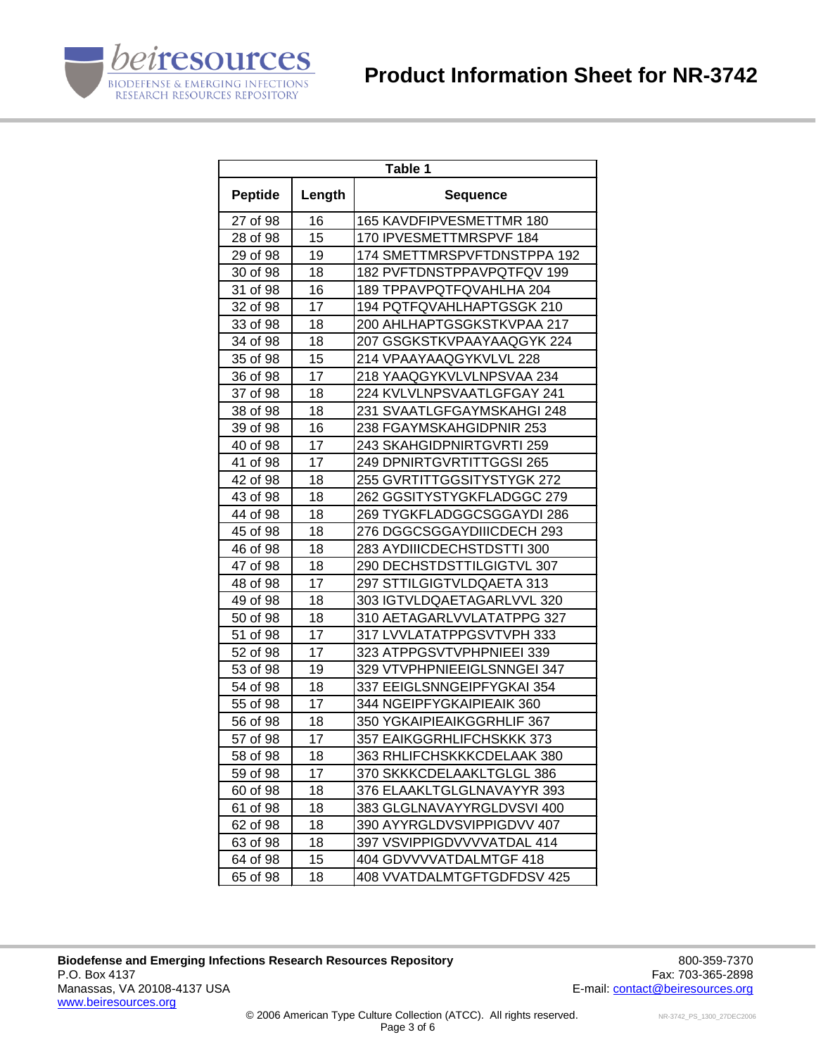

| Table 1        |        |                             |  |  |
|----------------|--------|-----------------------------|--|--|
| <b>Peptide</b> | Length | <b>Sequence</b>             |  |  |
| 27 of 98       | 16     | 165 KAVDFIPVESMETTMR 180    |  |  |
| 28 of 98       | 15     | 170 IPVESMETTMRSPVF 184     |  |  |
| 29 of 98       | 19     | 174 SMETTMRSPVFTDNSTPPA 192 |  |  |
| 30 of 98       | 18     | 182 PVFTDNSTPPAVPQTFQV 199  |  |  |
| 31 of 98       | 16     | 189 TPPAVPQTFQVAHLHA 204    |  |  |
| 32 of 98       | 17     | 194 PQTFQVAHLHAPTGSGK 210   |  |  |
| 33 of 98       | 18     | 200 AHLHAPTGSGKSTKVPAA 217  |  |  |
| 34 of 98       | 18     | 207 GSGKSTKVPAAYAAQGYK 224  |  |  |
| 35 of 98       | 15     | 214 VPAAYAAQGYKVLVL 228     |  |  |
| 36 of 98       | 17     | 218 YAAQGYKVLVLNPSVAA 234   |  |  |
| 37 of 98       | 18     | 224 KVLVLNPSVAATLGFGAY 241  |  |  |
| 38 of 98       | 18     | 231 SVAATLGFGAYMSKAHGI 248  |  |  |
| 39 of 98       | 16     | 238 FGAYMSKAHGIDPNIR 253    |  |  |
| 40 of 98       | 17     | 243 SKAHGIDPNIRTGVRTI 259   |  |  |
| 41 of 98       | 17     | 249 DPNIRTGVRTITTGGSI 265   |  |  |
| 42 of 98       | 18     | 255 GVRTITTGGSITYSTYGK 272  |  |  |
| 43 of 98       | 18     | 262 GGSITYSTYGKFLADGGC 279  |  |  |
| 44 of 98       | 18     | 269 TYGKFLADGGCSGGAYDI 286  |  |  |
| 45 of 98       | 18     | 276 DGGCSGGAYDIIICDECH 293  |  |  |
| 46 of 98       | 18     | 283 AYDIIICDECHSTDSTTI 300  |  |  |
| 47 of 98       | 18     | 290 DECHSTDSTTILGIGTVL 307  |  |  |
| 48 of 98       | 17     | 297 STTILGIGTVLDQAETA 313   |  |  |
| 49 of 98       | 18     | 303 IGTVLDQAETAGARLVVL 320  |  |  |
| 50 of 98       | 18     | 310 AETAGARLVVLATATPPG 327  |  |  |
| 51 of 98       | 17     | 317 LVVLATATPPGSVTVPH 333   |  |  |
| 52 of 98       | 17     | 323 ATPPGSVTVPHPNIEEI 339   |  |  |
| 53 of 98       | 19     | 329 VTVPHPNIEEIGLSNNGEI 347 |  |  |
| 54 of 98       | 18     | 337 EEIGLSNNGEIPFYGKAI 354  |  |  |
| 55 of 98       | 17     | 344 NGEIPFYGKAIPIEAIK 360   |  |  |
| 56 of 98       | 18     | 350 YGKAIPIEAIKGGRHLIF 367  |  |  |
| 57 of 98       | 17     | 357 EAIKGGRHLIFCHSKKK 373   |  |  |
| 58 of 98       | 18     | 363 RHLIFCHSKKKCDELAAK 380  |  |  |
| 59 of 98       | 17     | 370 SKKKCDELAAKLTGLGL 386   |  |  |
| 60 of 98       | 18     | 376 ELAAKLTGLGLNAVAYYR 393  |  |  |
| 61 of 98       | 18     | 383 GLGLNAVAYYRGLDVSVI 400  |  |  |
| 62 of 98       | 18     | 390 AYYRGLDVSVIPPIGDVV 407  |  |  |
| 63 of 98       | 18     | 397 VSVIPPIGDVVVVATDAL 414  |  |  |
| 64 of 98       | 15     | 404 GDVVVVATDALMTGF 418     |  |  |
| 65 of 98       | 18     | 408 VVATDALMTGFTGDFDSV 425  |  |  |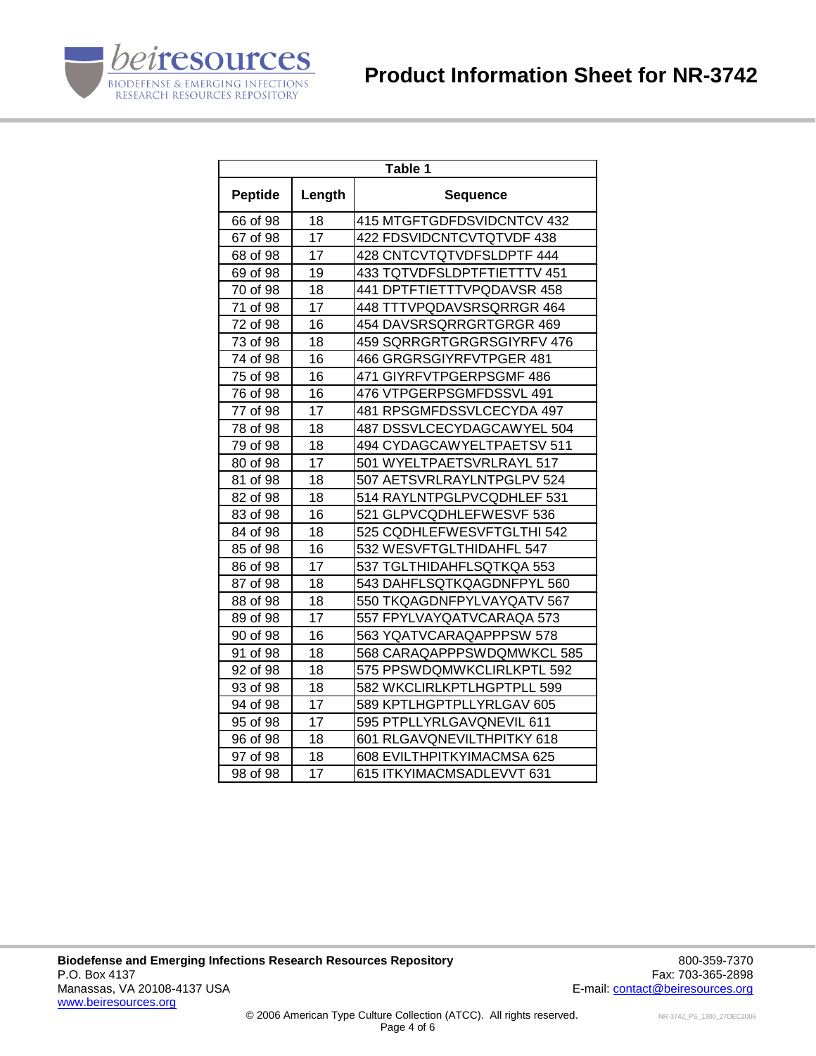

| Table 1        |        |                             |  |  |
|----------------|--------|-----------------------------|--|--|
| <b>Peptide</b> | Length | <b>Sequence</b>             |  |  |
| 66 of 98       | 18     | 415 MTGFTGDFDSVIDCNTCV 432  |  |  |
| 67 of 98       | 17     | 422 FDSVIDCNTCVTQTVDF 438   |  |  |
| 68 of 98       | 17     | 428 CNTCVTQTVDFSLDPTF 444   |  |  |
| 69 of 98       | 19     | 433 TQTVDFSLDPTFTIETTTV 451 |  |  |
| 70 of 98       | 18     | 441 DPTFTIETTTVPQDAVSR 458  |  |  |
| 71 of 98       | 17     | 448 TTTVPQDAVSRSQRRGR 464   |  |  |
| 72 of 98       | 16     | 454 DAVSRSQRRGRTGRGR 469    |  |  |
| 73 of 98       | 18     | 459 SQRRGRTGRGRSGIYRFV 476  |  |  |
| 74 of 98       | 16     | 466 GRGRSGIYRFVTPGER 481    |  |  |
| 75 of 98       | 16     | 471 GIYRFVTPGERPSGMF 486    |  |  |
| 76 of 98       | 16     | 476 VTPGERPSGMFDSSVL 491    |  |  |
| 77 of 98       | 17     | 481 RPSGMFDSSVLCECYDA 497   |  |  |
| 78 of 98       | 18     | 487 DSSVLCECYDAGCAWYEL 504  |  |  |
| 79 of 98       | 18     | 494 CYDAGCAWYELTPAETSV 511  |  |  |
| 80 of 98       | 17     | 501 WYELTPAETSVRLRAYL 517   |  |  |
| 81 of 98       | 18     | 507 AETSVRLRAYLNTPGLPV 524  |  |  |
| 82 of 98       | 18     | 514 RAYLNTPGLPVCQDHLEF 531  |  |  |
| 83 of 98       | 16     | 521 GLPVCQDHLEFWESVF 536    |  |  |
| 84 of 98       | 18     | 525 CQDHLEFWESVFTGLTHI 542  |  |  |
| 85 of 98       | 16     | 532 WESVFTGLTHIDAHFL 547    |  |  |
| 86 of 98       | 17     | 537 TGLTHIDAHFLSQTKQA 553   |  |  |
| 87 of 98       | 18     | 543 DAHFLSQTKQAGDNFPYL 560  |  |  |
| 88 of 98       | 18     | 550 TKQAGDNFPYLVAYQATV 567  |  |  |
| 89 of 98       | 17     | 557 FPYLVAYQATVCARAQA 573   |  |  |
| 90 of 98       | 16     | 563 YQATVCARAQAPPPSW 578    |  |  |
| 91 of 98       | 18     | 568 CARAQAPPPSWDQMWKCL 585  |  |  |
| 92 of 98       | 18     | 575 PPSWDQMWKCLIRLKPTL 592  |  |  |
| 93 of 98       | 18     | 582 WKCLIRLKPTLHGPTPLL 599  |  |  |
| 94 of 98       | 17     | 589 KPTLHGPTPLLYRLGAV 605   |  |  |
| 95 of 98       | 17     | 595 PTPLLYRLGAVQNEVIL 611   |  |  |
| 96 of 98       | 18     | 601 RLGAVQNEVILTHPITKY 618  |  |  |
| 97 of 98       | 18     | 608 EVILTHPITKYIMACMSA 625  |  |  |
| 98 of 98       | 17     | 615 ITKYIMACMSADLEVVT 631   |  |  |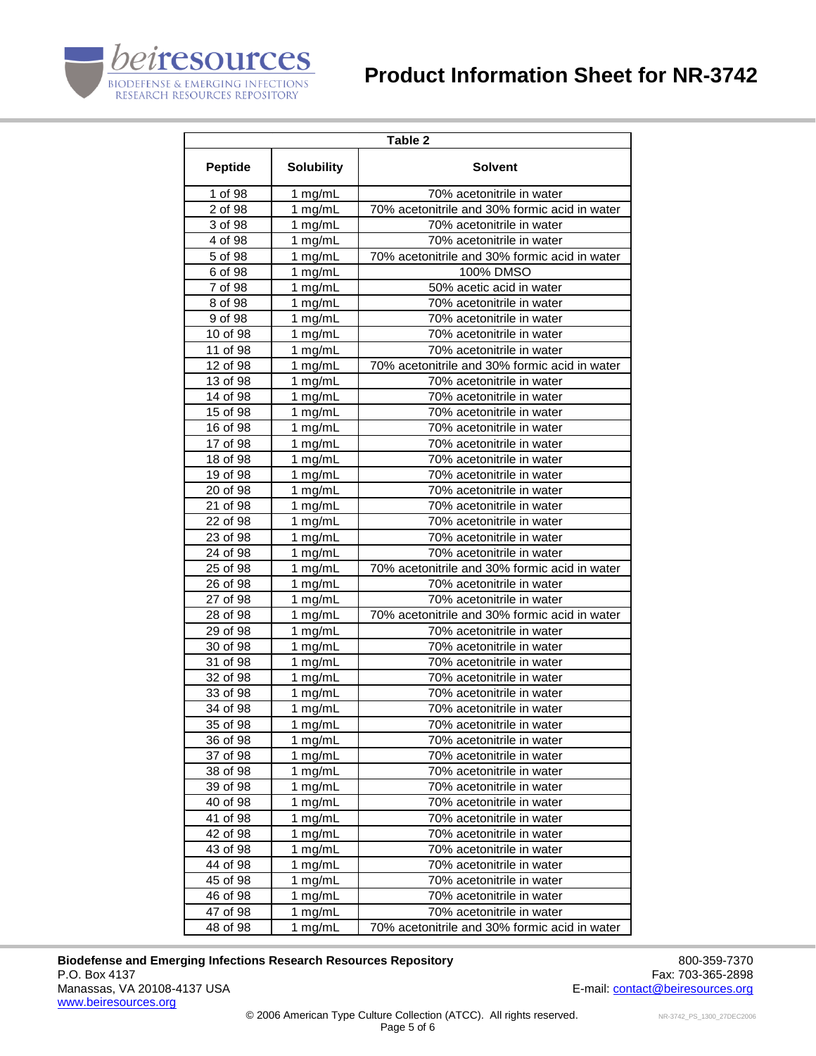



|                | Table 2           |                                               |  |  |  |
|----------------|-------------------|-----------------------------------------------|--|--|--|
| <b>Peptide</b> | <b>Solubility</b> | <b>Solvent</b>                                |  |  |  |
| 1 of 98        | 1 mg/mL           | 70% acetonitrile in water                     |  |  |  |
| 2 of 98        | 1 mg/mL           | 70% acetonitrile and 30% formic acid in water |  |  |  |
| 3 of 98        | 1 mg/mL           | 70% acetonitrile in water                     |  |  |  |
| 4 of 98        | 1 mg/mL           | 70% acetonitrile in water                     |  |  |  |
| 5 of 98        | 1 mg/mL           | 70% acetonitrile and 30% formic acid in water |  |  |  |
| 6 of 98        | 1 $mg/mL$         | 100% DMSO                                     |  |  |  |
| 7 of 98        | 1 mg/mL           | 50% acetic acid in water                      |  |  |  |
| 8 of 98        | 1 mg/mL           | 70% acetonitrile in water                     |  |  |  |
| 9 of 98        | 1 mg/mL           | 70% acetonitrile in water                     |  |  |  |
| 10 of 98       | 1 mg/mL           | 70% acetonitrile in water                     |  |  |  |
| 11 of 98       | 1 mg/mL           | 70% acetonitrile in water                     |  |  |  |
| 12 of 98       | 1 mg/mL           | 70% acetonitrile and 30% formic acid in water |  |  |  |
| 13 of 98       | 1 mg/mL           | 70% acetonitrile in water                     |  |  |  |
| 14 of 98       | 1 mg/mL           | 70% acetonitrile in water                     |  |  |  |
| 15 of 98       | 1 mg/mL           | 70% acetonitrile in water                     |  |  |  |
| 16 of 98       | 1 mg/mL           | 70% acetonitrile in water                     |  |  |  |
| 17 of 98       | 1 mg/mL           | 70% acetonitrile in water                     |  |  |  |
| 18 of 98       | 1 mg/mL           | 70% acetonitrile in water                     |  |  |  |
| 19 of 98       | 1 mg/mL           | 70% acetonitrile in water                     |  |  |  |
| 20 of 98       | 1 mg/mL           | 70% acetonitrile in water                     |  |  |  |
| 21 of 98       | 1 mg/mL           | 70% acetonitrile in water                     |  |  |  |
| 22 of 98       | 1 mg/mL           | 70% acetonitrile in water                     |  |  |  |
| 23 of 98       | 1 mg/mL           | 70% acetonitrile in water                     |  |  |  |
| 24 of 98       | 1 mg/mL           | 70% acetonitrile in water                     |  |  |  |
| 25 of 98       | 1 mg/mL           | 70% acetonitrile and 30% formic acid in water |  |  |  |
| 26 of 98       | 1 mg/mL           | 70% acetonitrile in water                     |  |  |  |
| 27 of 98       | 1 mg/mL           | 70% acetonitrile in water                     |  |  |  |
| 28 of 98       | 1 mg/mL           | 70% acetonitrile and 30% formic acid in water |  |  |  |
| 29 of 98       | 1 mg/mL           | 70% acetonitrile in water                     |  |  |  |
| 30 of 98       | 1 mg/mL           | 70% acetonitrile in water                     |  |  |  |
| 31 of 98       | 1 mg/mL           | 70% acetonitrile in water                     |  |  |  |
| 32 of 98       | 1 mg/mL           | 70% acetonitrile in water                     |  |  |  |
| 33 of 98       | 1 mg/mL           | 70% acetonitrile in water                     |  |  |  |
| 34 of 98       | 1 mg/mL           | 70% acetonitrile in water                     |  |  |  |
| 35 of 98       | 1 mg/mL           | 70% acetonitrile in water                     |  |  |  |
| 36 of 98       | 1 mg/mL           | 70% acetonitrile in water                     |  |  |  |
| 37 of 98       | 1 mg/mL           | 70% acetonitrile in water                     |  |  |  |
| 38 of 98       | 1 mg/mL           | 70% acetonitrile in water                     |  |  |  |
| 39 of 98       | 1 mg/mL           | 70% acetonitrile in water                     |  |  |  |
| 40 of 98       | 1 mg/mL           | 70% acetonitrile in water                     |  |  |  |
| 41 of 98       | 1 $mg/mL$         | 70% acetonitrile in water                     |  |  |  |
| 42 of 98       | 1 mg/mL           | 70% acetonitrile in water                     |  |  |  |
| 43 of 98       | 1 mg/mL           | 70% acetonitrile in water                     |  |  |  |
| 44 of 98       | 1 mg/mL           | 70% acetonitrile in water                     |  |  |  |
| 45 of 98       | 1 mg/mL           | 70% acetonitrile in water                     |  |  |  |
| 46 of 98       | 1 mg/mL           | 70% acetonitrile in water                     |  |  |  |
| 47 of 98       | 1 mg/mL           | 70% acetonitrile in water                     |  |  |  |
| 48 of 98       | 1 mg/mL           | 70% acetonitrile and 30% formic acid in water |  |  |  |

**Biodefense and Emerging Infections Research Resources Repository 600-859-7370**<br>P.O. Box 4137 Fax: 703-365-2898 P.O. Box 4137 Fax: 703-365-2898<br>Manassas, VA 20108-4137 USA Fax: 703-365-2898 Fax: 703-365-2898 [www.beiresources.org](http://www.beiresources.org/)